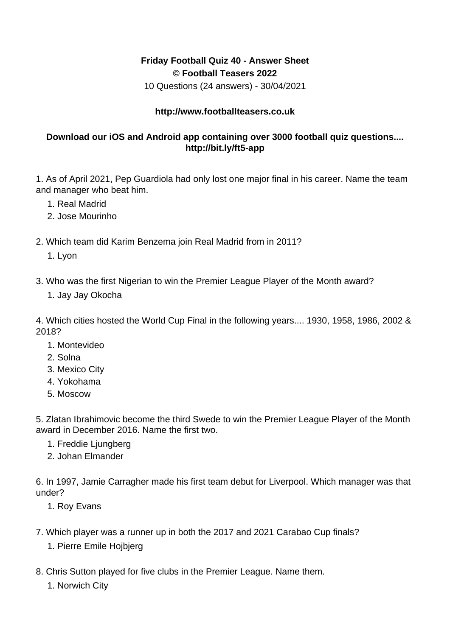## **Friday Football Quiz 40 - Answer Sheet © Football Teasers 2022**

10 Questions (24 answers) - 30/04/2021

## **http://www.footballteasers.co.uk**

## **Download our iOS and Android app containing over 3000 football quiz questions.... http://bit.ly/ft5-app**

1. As of April 2021, Pep Guardiola had only lost one major final in his career. Name the team and manager who beat him.

- 1. Real Madrid
- 2. Jose Mourinho
- 2. Which team did Karim Benzema join Real Madrid from in 2011?

1. Lyon

- 3. Who was the first Nigerian to win the Premier League Player of the Month award?
	- 1. Jay Jay Okocha

4. Which cities hosted the World Cup Final in the following years.... 1930, 1958, 1986, 2002 & 2018?

- 1. Montevideo
- 2. Solna
- 3. Mexico City
- 4. Yokohama
- 5. Moscow

5. Zlatan Ibrahimovic become the third Swede to win the Premier League Player of the Month award in December 2016. Name the first two.

- 1. Freddie Ljungberg
- 2. Johan Elmander

6. In 1997, Jamie Carragher made his first team debut for Liverpool. Which manager was that under?

- 1. Roy Evans
- 7. Which player was a runner up in both the 2017 and 2021 Carabao Cup finals?
	- 1. Pierre Emile Hojbjerg
- 8. Chris Sutton played for five clubs in the Premier League. Name them.
	- 1. Norwich City